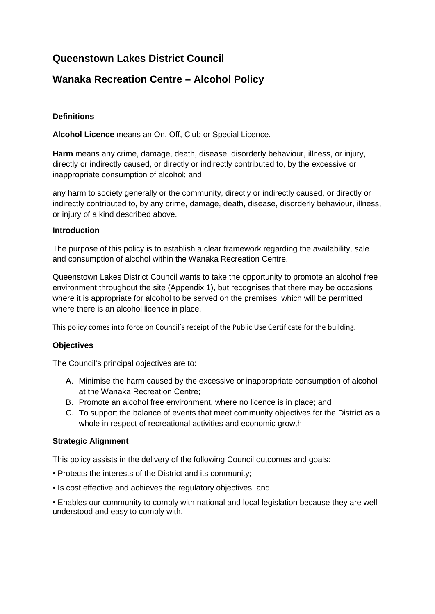# **Queenstown Lakes District Council**

## **Wanaka Recreation Centre – Alcohol Policy**

## **Definitions**

**Alcohol Licence** means an On, Off, Club or Special Licence.

**Harm** means any crime, damage, death, disease, disorderly behaviour, illness, or injury, directly or indirectly caused, or directly or indirectly contributed to, by the excessive or inappropriate consumption of alcohol; and

any harm to society generally or the community, directly or indirectly caused, or directly or indirectly contributed to, by any crime, damage, death, disease, disorderly behaviour, illness, or injury of a kind described above.

### **Introduction**

The purpose of this policy is to establish a clear framework regarding the availability, sale and consumption of alcohol within the Wanaka Recreation Centre.

Queenstown Lakes District Council wants to take the opportunity to promote an alcohol free environment throughout the site (Appendix 1), but recognises that there may be occasions where it is appropriate for alcohol to be served on the premises, which will be permitted where there is an alcohol licence in place.

This policy comes into force on Council's receipt of the Public Use Certificate for the building.

### **Objectives**

The Council's principal objectives are to:

- A. Minimise the harm caused by the excessive or inappropriate consumption of alcohol at the Wanaka Recreation Centre;
- B. Promote an alcohol free environment, where no licence is in place; and
- C. To support the balance of events that meet community objectives for the District as a whole in respect of recreational activities and economic growth.

### **Strategic Alignment**

This policy assists in the delivery of the following Council outcomes and goals:

- Protects the interests of the District and its community;
- Is cost effective and achieves the regulatory objectives; and

• Enables our community to comply with national and local legislation because they are well understood and easy to comply with.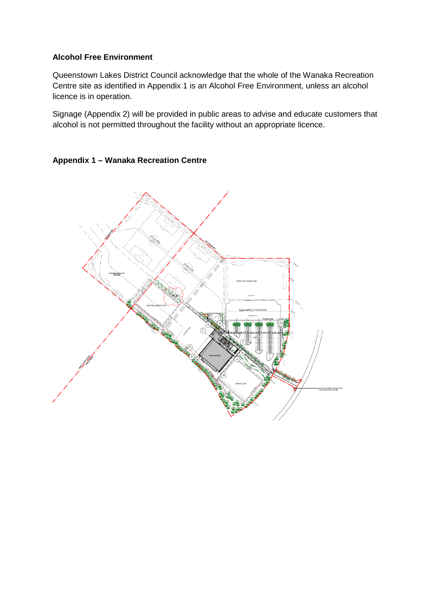#### **Alcohol Free Environment**

Queenstown Lakes District Council acknowledge that the whole of the Wanaka Recreation Centre site as identified in Appendix 1 is an Alcohol Free Environment, unless an alcohol licence is in operation.

Signage (Appendix 2) will be provided in public areas to advise and educate customers that alcohol is not permitted throughout the facility without an appropriate licence.

#### **Appendix 1 – Wanaka Recreation Centre**